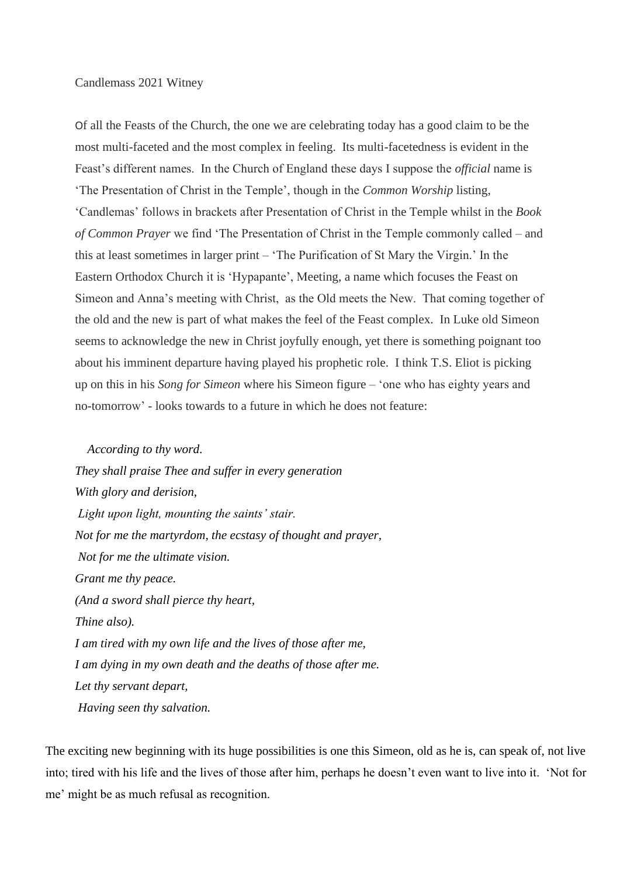## Candlemass 2021 Witney

Of all the Feasts of the Church, the one we are celebrating today has a good claim to be the most multi-faceted and the most complex in feeling. Its multi-facetedness is evident in the Feast's different names. In the Church of England these days I suppose the *official* name is 'The Presentation of Christ in the Temple', though in the *Common Worship* listing, 'Candlemas' follows in brackets after Presentation of Christ in the Temple whilst in the *Book of Common Prayer* we find 'The Presentation of Christ in the Temple commonly called – and this at least sometimes in larger print – 'The Purification of St Mary the Virgin.' In the Eastern Orthodox Church it is 'Hypapante', Meeting, a name which focuses the Feast on Simeon and Anna's meeting with Christ, as the Old meets the New. That coming together of the old and the new is part of what makes the feel of the Feast complex. In Luke old Simeon seems to acknowledge the new in Christ joyfully enough, yet there is something poignant too about his imminent departure having played his prophetic role. I think T.S. Eliot is picking up on this in his *Song for Simeon* where his Simeon figure – 'one who has eighty years and no-tomorrow' - looks towards to a future in which he does not feature:

 *According to thy word. They shall praise Thee and suffer in every generation With glory and derision, Light upon light, mounting the saints' stair. Not for me the martyrdom, the ecstasy of thought and prayer, Not for me the ultimate vision. Grant me thy peace. (And a sword shall pierce thy heart, Thine also). I am tired with my own life and the lives of those after me, I am dying in my own death and the deaths of those after me. Let thy servant depart, Having seen thy salvation.*

The exciting new beginning with its huge possibilities is one this Simeon, old as he is, can speak of, not live into; tired with his life and the lives of those after him, perhaps he doesn't even want to live into it. 'Not for me' might be as much refusal as recognition.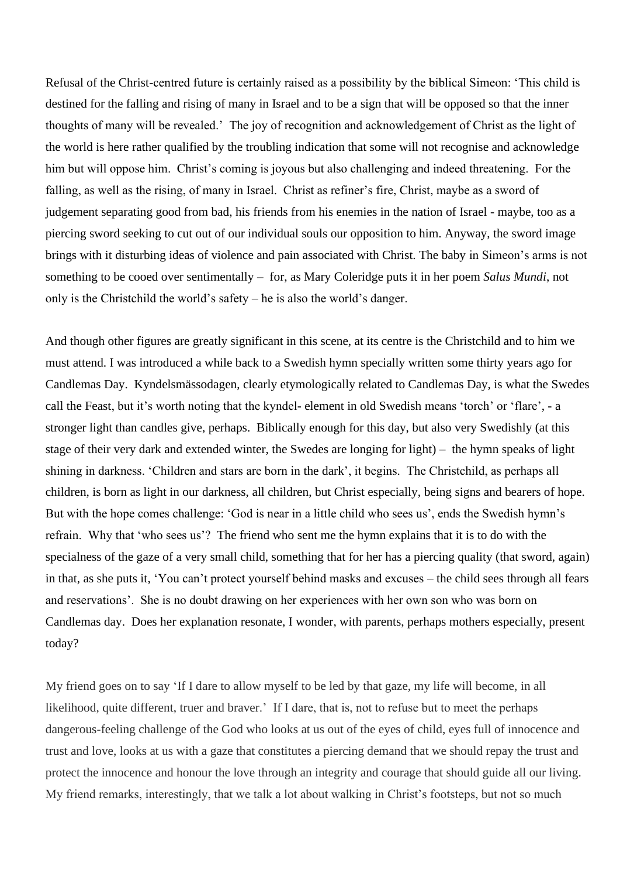Refusal of the Christ-centred future is certainly raised as a possibility by the biblical Simeon: 'This child is destined for the falling and rising of many in Israel and to be a sign that will be opposed so that the inner thoughts of many will be revealed.' The joy of recognition and acknowledgement of Christ as the light of the world is here rather qualified by the troubling indication that some will not recognise and acknowledge him but will oppose him. Christ's coming is joyous but also challenging and indeed threatening. For the falling, as well as the rising, of many in Israel. Christ as refiner's fire, Christ, maybe as a sword of judgement separating good from bad, his friends from his enemies in the nation of Israel - maybe, too as a piercing sword seeking to cut out of our individual souls our opposition to him. Anyway, the sword image brings with it disturbing ideas of violence and pain associated with Christ. The baby in Simeon's arms is not something to be cooed over sentimentally – for, as Mary Coleridge puts it in her poem *Salus Mundi*, not only is the Christchild the world's safety – he is also the world's danger.

And though other figures are greatly significant in this scene, at its centre is the Christchild and to him we must attend. I was introduced a while back to a Swedish hymn specially written some thirty years ago for Candlemas Day. Kyndelsmässodagen, clearly etymologically related to Candlemas Day, is what the Swedes call the Feast, but it's worth noting that the kyndel- element in old Swedish means 'torch' or 'flare', - a stronger light than candles give, perhaps. Biblically enough for this day, but also very Swedishly (at this stage of their very dark and extended winter, the Swedes are longing for light) – the hymn speaks of light shining in darkness. 'Children and stars are born in the dark', it begins. The Christchild, as perhaps all children, is born as light in our darkness, all children, but Christ especially, being signs and bearers of hope. But with the hope comes challenge: 'God is near in a little child who sees us', ends the Swedish hymn's refrain. Why that 'who sees us'? The friend who sent me the hymn explains that it is to do with the specialness of the gaze of a very small child, something that for her has a piercing quality (that sword, again) in that, as she puts it, 'You can't protect yourself behind masks and excuses – the child sees through all fears and reservations'. She is no doubt drawing on her experiences with her own son who was born on Candlemas day. Does her explanation resonate, I wonder, with parents, perhaps mothers especially, present today?

My friend goes on to say 'If I dare to allow myself to be led by that gaze, my life will become, in all likelihood, quite different, truer and braver.' If I dare, that is, not to refuse but to meet the perhaps dangerous-feeling challenge of the God who looks at us out of the eyes of child, eyes full of innocence and trust and love, looks at us with a gaze that constitutes a piercing demand that we should repay the trust and protect the innocence and honour the love through an integrity and courage that should guide all our living. My friend remarks, interestingly, that we talk a lot about walking in Christ's footsteps, but not so much